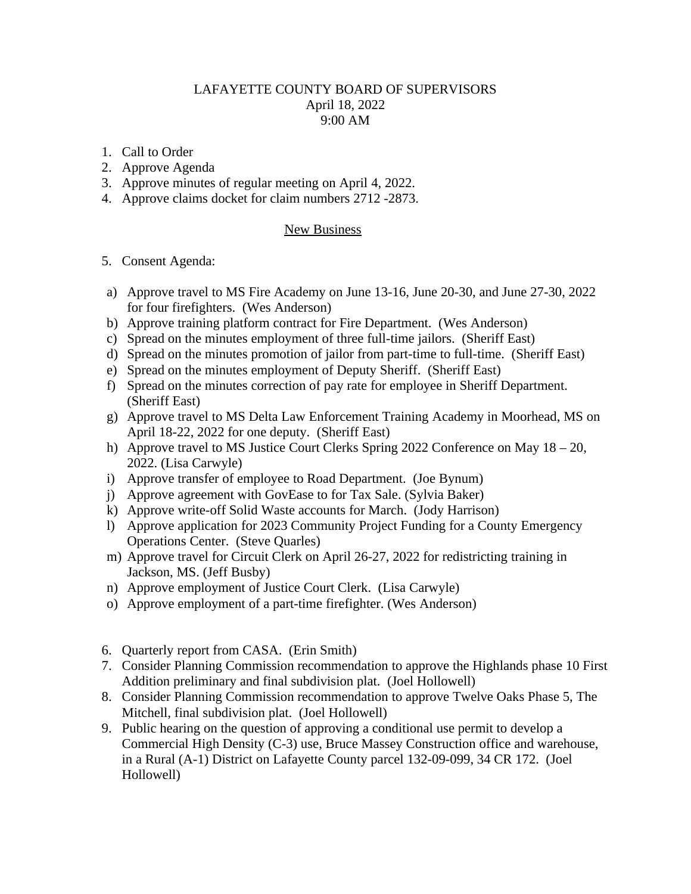## LAFAYETTE COUNTY BOARD OF SUPERVISORS April 18, 2022 9:00 AM

- 1. Call to Order
- 2. Approve Agenda
- 3. Approve minutes of regular meeting on April 4, 2022.
- 4. Approve claims docket for claim numbers 2712 -2873.

## New Business

## 5. Consent Agenda:

- a) Approve travel to MS Fire Academy on June 13-16, June 20-30, and June 27-30, 2022 for four firefighters. (Wes Anderson)
- b) Approve training platform contract for Fire Department. (Wes Anderson)
- c) Spread on the minutes employment of three full-time jailors. (Sheriff East)
- d) Spread on the minutes promotion of jailor from part-time to full-time. (Sheriff East)
- e) Spread on the minutes employment of Deputy Sheriff. (Sheriff East)
- f) Spread on the minutes correction of pay rate for employee in Sheriff Department. (Sheriff East)
- g) Approve travel to MS Delta Law Enforcement Training Academy in Moorhead, MS on April 18-22, 2022 for one deputy. (Sheriff East)
- h) Approve travel to MS Justice Court Clerks Spring 2022 Conference on May 18 20, 2022. (Lisa Carwyle)
- i) Approve transfer of employee to Road Department. (Joe Bynum)
- j) Approve agreement with GovEase to for Tax Sale. (Sylvia Baker)
- k) Approve write-off Solid Waste accounts for March. (Jody Harrison)
- l) Approve application for 2023 Community Project Funding for a County Emergency Operations Center. (Steve Quarles)
- m) Approve travel for Circuit Clerk on April 26-27, 2022 for redistricting training in Jackson, MS. (Jeff Busby)
- n) Approve employment of Justice Court Clerk. (Lisa Carwyle)
- o) Approve employment of a part-time firefighter. (Wes Anderson)
- 6. Quarterly report from CASA. (Erin Smith)
- 7. Consider Planning Commission recommendation to approve the Highlands phase 10 First Addition preliminary and final subdivision plat. (Joel Hollowell)
- 8. Consider Planning Commission recommendation to approve Twelve Oaks Phase 5, The Mitchell, final subdivision plat. (Joel Hollowell)
- 9. Public hearing on the question of approving a conditional use permit to develop a Commercial High Density (C-3) use, Bruce Massey Construction office and warehouse, in a Rural (A-1) District on Lafayette County parcel 132-09-099, 34 CR 172. (Joel Hollowell)